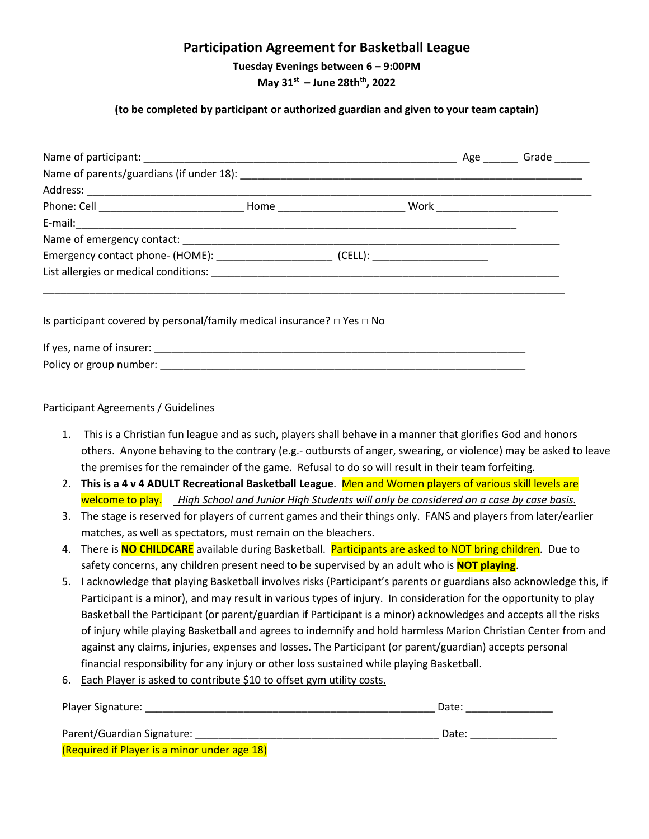# **Participation Agreement for Basketball League**

**Tuesday Evenings between 6 – 9:00PM**

**May 31st – June 28thth, 2022**

#### **(to be completed by participant or authorized guardian and given to your team captain)**

| Is participant covered by personal/family medical insurance? $\Box$ Yes $\Box$ No |  |  |
|-----------------------------------------------------------------------------------|--|--|
|                                                                                   |  |  |
|                                                                                   |  |  |

#### Participant Agreements / Guidelines

- 1. This is a Christian fun league and as such, players shall behave in a manner that glorifies God and honors others. Anyone behaving to the contrary (e.g.- outbursts of anger, swearing, or violence) may be asked to leave the premises for the remainder of the game. Refusal to do so will result in their team forfeiting.
- 2. **This is a 4 v 4 ADULT Recreational Basketball League**. Men and Women players of various skill levels are welcome to play. *High School and Junior High Students will only be considered on a case by case basis.*
- 3. The stage is reserved for players of current games and their things only. FANS and players from later/earlier matches, as well as spectators, must remain on the bleachers.
- 4. There is **NO CHILDCARE** available during Basketball. Participants are asked to NOT bring children. Due to safety concerns, any children present need to be supervised by an adult who is **NOT playing**.
- 5. I acknowledge that playing Basketball involves risks (Participant's parents or guardians also acknowledge this, if Participant is a minor), and may result in various types of injury. In consideration for the opportunity to play Basketball the Participant (or parent/guardian if Participant is a minor) acknowledges and accepts all the risks of injury while playing Basketball and agrees to indemnify and hold harmless Marion Christian Center from and against any claims, injuries, expenses and losses. The Participant (or parent/guardian) accepts personal financial responsibility for any injury or other loss sustained while playing Basketball.
- 6. Each Player is asked to contribute \$10 to offset gym utility costs.

| Player Signature:                            | Date: |
|----------------------------------------------|-------|
| Parent/Guardian Signature:                   | Date: |
| (Required if Player is a minor under age 18) |       |